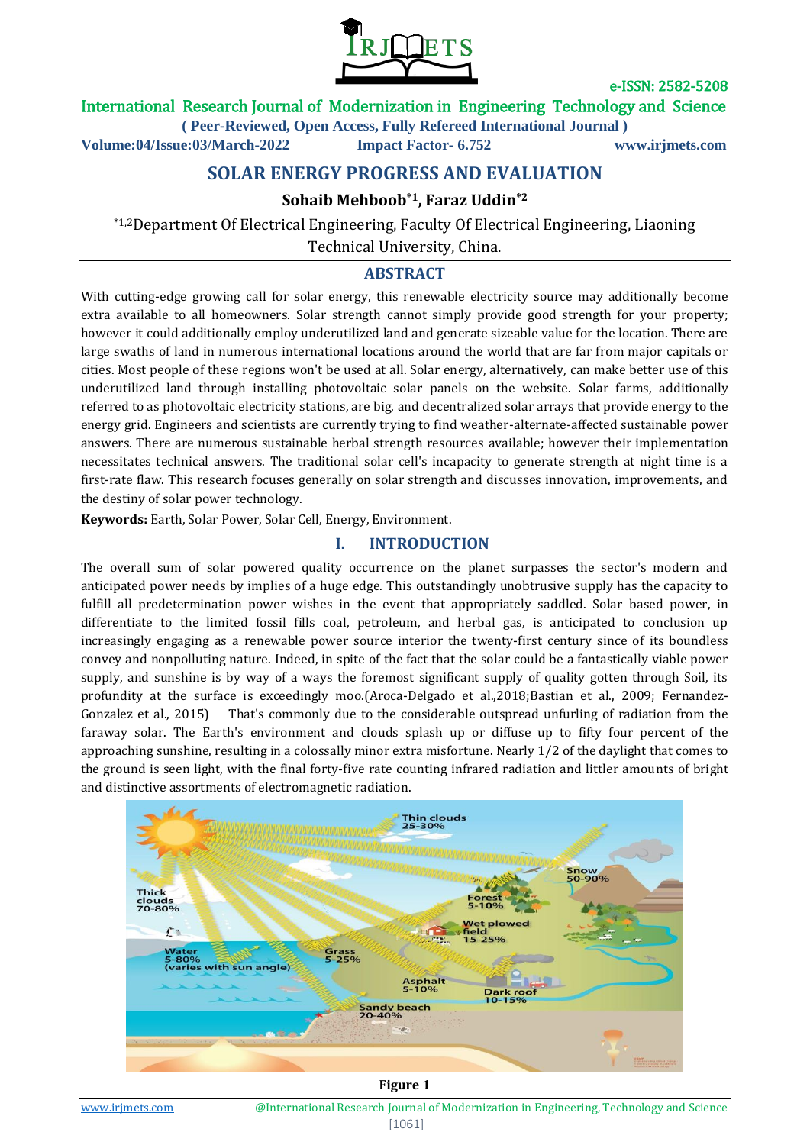

International Research Journal of Modernization in Engineering Technology and Science

**( Peer-Reviewed, Open Access, Fully Refereed International Journal )**

**Volume:04/Issue:03/March-2022 Impact Factor- 6.752 www.irjmets.com**

# **SOLAR ENERGY PROGRESS AND EVALUATION**

# **Sohaib Mehboob\*1, Faraz Uddin\*2**

\*1,2Department Of Electrical Engineering, Faculty Of Electrical Engineering, Liaoning Technical University, China.

## **ABSTRACT**

With cutting-edge growing call for solar energy, this renewable electricity source may additionally become extra available to all homeowners. Solar strength cannot simply provide good strength for your property; however it could additionally employ underutilized land and generate sizeable value for the location. There are large swaths of land in numerous international locations around the world that are far from major capitals or cities. Most people of these regions won't be used at all. Solar energy, alternatively, can make better use of this underutilized land through installing photovoltaic solar panels on the website. Solar farms, additionally referred to as photovoltaic electricity stations, are big, and decentralized solar arrays that provide energy to the energy grid. Engineers and scientists are currently trying to find weather-alternate-affected sustainable power answers. There are numerous sustainable herbal strength resources available; however their implementation necessitates technical answers. The traditional solar cell's incapacity to generate strength at night time is a first-rate flaw. This research focuses generally on solar strength and discusses innovation, improvements, and the destiny of solar power technology.

**Keywords:** Earth, Solar Power, Solar Cell, Energy, Environment.

### **I. INTRODUCTION**

The overall sum of solar powered quality occurrence on the planet surpasses the sector's modern and anticipated power needs by implies of a huge edge. This outstandingly unobtrusive supply has the capacity to fulfill all predetermination power wishes in the event that appropriately saddled. Solar based power, in differentiate to the limited fossil fills coal, petroleum, and herbal gas, is anticipated to conclusion up increasingly engaging as a renewable power source interior the twenty-first century since of its boundless convey and nonpolluting nature. Indeed, in spite of the fact that the solar could be a fantastically viable power supply, and sunshine is by way of a ways the foremost significant supply of quality gotten through Soil, its profundity at the surface is exceedingly moo.(Aroca-Delgado et al.,2018;Bastian et al., 2009; Fernandez-Gonzalez et al., 2015) That's commonly due to the considerable outspread unfurling of radiation from the faraway solar. The Earth's environment and clouds splash up or diffuse up to fifty four percent of the approaching sunshine, resulting in a colossally minor extra misfortune. Nearly 1/2 of the daylight that comes to the ground is seen light, with the final forty-five rate counting infrared radiation and littler amounts of bright and distinctive assortments of electromagnetic radiation.



www.irjmets.com @International Research Journal of Modernization in Engineering, Technology and Science [1061] **Figure 1**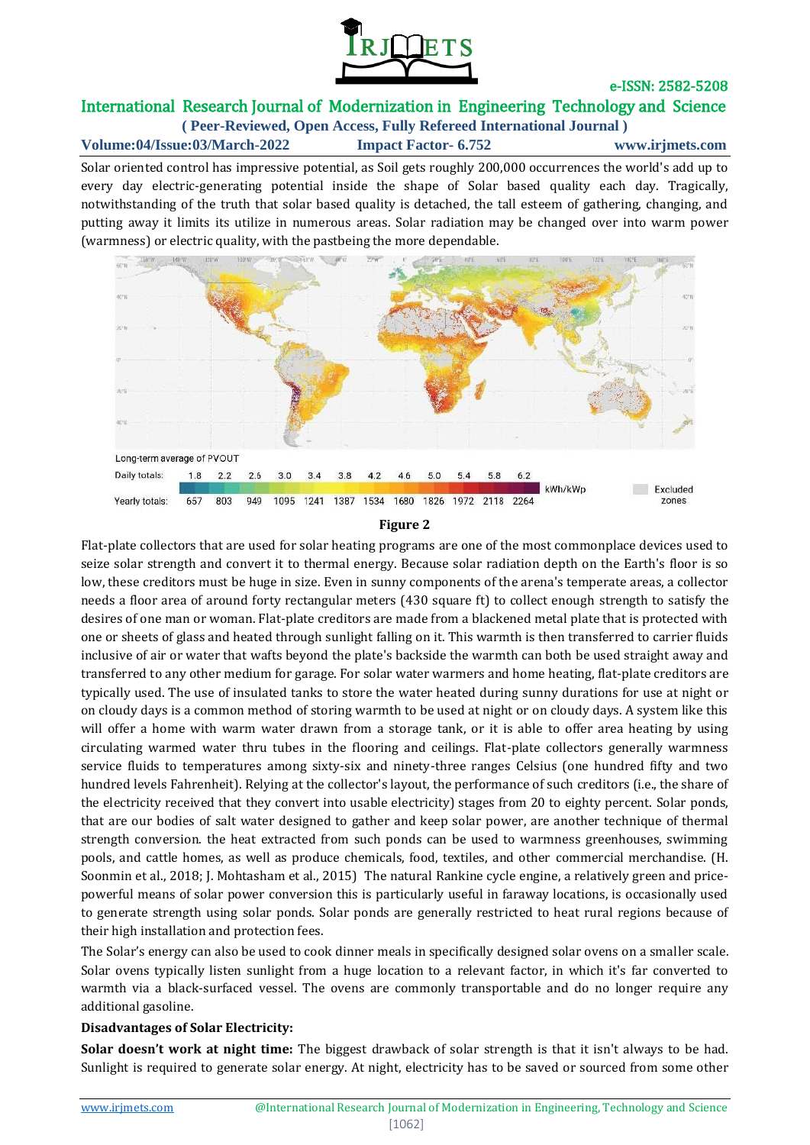

# International Research Journal of Modernization in Engineering Technology and Science

**( Peer-Reviewed, Open Access, Fully Refereed International Journal ) Volume:04/Issue:03/March-2022 Impact Factor- 6.752 www.irjmets.com**

Solar oriented control has impressive potential, as Soil gets roughly 200,000 occurrences the world's add up to every day electric-generating potential inside the shape of Solar based quality each day. Tragically, notwithstanding of the truth that solar based quality is detached, the tall esteem of gathering, changing, and putting away it limits its utilize in numerous areas. Solar radiation may be changed over into warm power (warmness) or electric quality, with the pastbeing the more dependable.



**Figure 2**

Flat-plate collectors that are used for solar heating programs are one of the most commonplace devices used to seize solar strength and convert it to thermal energy. Because solar radiation depth on the Earth's floor is so low, these creditors must be huge in size. Even in sunny components of the arena's temperate areas, a collector needs a floor area of around forty rectangular meters (430 square ft) to collect enough strength to satisfy the desires of one man or woman. Flat-plate creditors are made from a blackened metal plate that is protected with one or sheets of glass and heated through sunlight falling on it. This warmth is then transferred to carrier fluids inclusive of air or water that wafts beyond the plate's backside the warmth can both be used straight away and transferred to any other medium for garage. For solar water warmers and home heating, flat-plate creditors are typically used. The use of insulated tanks to store the water heated during sunny durations for use at night or on cloudy days is a common method of storing warmth to be used at night or on cloudy days. A system like this will offer a home with warm water drawn from a storage tank, or it is able to offer area heating by using circulating warmed water thru tubes in the flooring and ceilings. Flat-plate collectors generally warmness service fluids to temperatures among sixty-six and ninety-three ranges Celsius (one hundred fifty and two hundred levels Fahrenheit). Relying at the collector's layout, the performance of such creditors (i.e., the share of the electricity received that they convert into usable electricity) stages from 20 to eighty percent. Solar ponds, that are our bodies of salt water designed to gather and keep solar power, are another technique of thermal strength conversion. the heat extracted from such ponds can be used to warmness greenhouses, swimming pools, and cattle homes, as well as produce chemicals, food, textiles, and other commercial merchandise. (H. Soonmin et al., 2018; J. Mohtasham et al., 2015) The natural Rankine cycle engine, a relatively green and pricepowerful means of solar power conversion this is particularly useful in faraway locations, is occasionally used to generate strength using solar ponds. Solar ponds are generally restricted to heat rural regions because of their high installation and protection fees.

The Solar's energy can also be used to cook dinner meals in specifically designed solar ovens on a smaller scale. Solar ovens typically listen sunlight from a huge location to a relevant factor, in which it's far converted to warmth via a black-surfaced vessel. The ovens are commonly transportable and do no longer require any additional gasoline.

### **Disadvantages of Solar Electricity:**

**Solar doesn't work at night time:** The biggest drawback of solar strength is that it isn't always to be had. Sunlight is required to generate solar energy. At night, electricity has to be saved or sourced from some other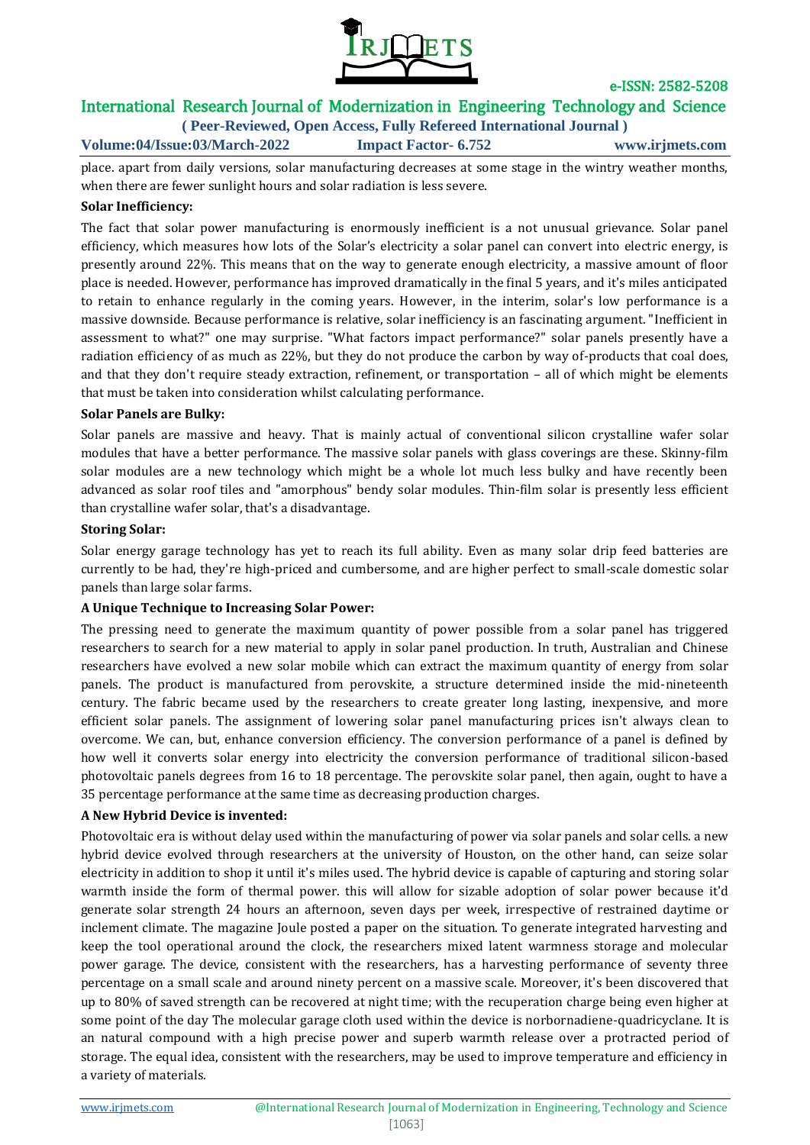

# International Research Journal of Modernization in Engineering Technology and Science

**( Peer-Reviewed, Open Access, Fully Refereed International Journal ) Volume:04/Issue:03/March-2022 Impact Factor- 6.752 www.irjmets.com**

place. apart from daily versions, solar manufacturing decreases at some stage in the wintry weather months, when there are fewer sunlight hours and solar radiation is less severe.

#### **Solar Inefficiency:**

The fact that solar power manufacturing is enormously inefficient is a not unusual grievance. Solar panel efficiency, which measures how lots of the Solar's electricity a solar panel can convert into electric energy, is presently around 22%. This means that on the way to generate enough electricity, a massive amount of floor place is needed. However, performance has improved dramatically in the final 5 years, and it's miles anticipated to retain to enhance regularly in the coming years. However, in the interim, solar's low performance is a massive downside. Because performance is relative, solar inefficiency is an fascinating argument. "Inefficient in assessment to what?" one may surprise. "What factors impact performance?" solar panels presently have a radiation efficiency of as much as 22%, but they do not produce the carbon by way of-products that coal does, and that they don't require steady extraction, refinement, or transportation – all of which might be elements that must be taken into consideration whilst calculating performance.

#### **Solar Panels are Bulky:**

Solar panels are massive and heavy. That is mainly actual of conventional silicon crystalline wafer solar modules that have a better performance. The massive solar panels with glass coverings are these. Skinny-film solar modules are a new technology which might be a whole lot much less bulky and have recently been advanced as solar roof tiles and "amorphous" bendy solar modules. Thin-film solar is presently less efficient than crystalline wafer solar, that's a disadvantage.

#### **Storing Solar:**

Solar energy garage technology has yet to reach its full ability. Even as many solar drip feed batteries are currently to be had, they're high-priced and cumbersome, and are higher perfect to small-scale domestic solar panels than large solar farms.

#### **A Unique Technique to Increasing Solar Power:**

The pressing need to generate the maximum quantity of power possible from a solar panel has triggered researchers to search for a new material to apply in solar panel production. In truth, Australian and Chinese researchers have evolved a new solar mobile which can extract the maximum quantity of energy from solar panels. The product is manufactured from perovskite, a structure determined inside the mid-nineteenth century. The fabric became used by the researchers to create greater long lasting, inexpensive, and more efficient solar panels. The assignment of lowering solar panel manufacturing prices isn't always clean to overcome. We can, but, enhance conversion efficiency. The conversion performance of a panel is defined by how well it converts solar energy into electricity the conversion performance of traditional silicon-based photovoltaic panels degrees from 16 to 18 percentage. The perovskite solar panel, then again, ought to have a 35 percentage performance at the same time as decreasing production charges.

### **A New Hybrid Device is invented:**

Photovoltaic era is without delay used within the manufacturing of power via solar panels and solar cells. a new hybrid device evolved through researchers at the university of Houston, on the other hand, can seize solar electricity in addition to shop it until it's miles used. The hybrid device is capable of capturing and storing solar warmth inside the form of thermal power. this will allow for sizable adoption of solar power because it'd generate solar strength 24 hours an afternoon, seven days per week, irrespective of restrained daytime or inclement climate. The magazine Joule posted a paper on the situation. To generate integrated harvesting and keep the tool operational around the clock, the researchers mixed latent warmness storage and molecular power garage. The device, consistent with the researchers, has a harvesting performance of seventy three percentage on a small scale and around ninety percent on a massive scale. Moreover, it's been discovered that up to 80% of saved strength can be recovered at night time; with the recuperation charge being even higher at some point of the day The molecular garage cloth used within the device is norbornadiene-quadricyclane. It is an natural compound with a high precise power and superb warmth release over a protracted period of storage. The equal idea, consistent with the researchers, may be used to improve temperature and efficiency in a variety of materials.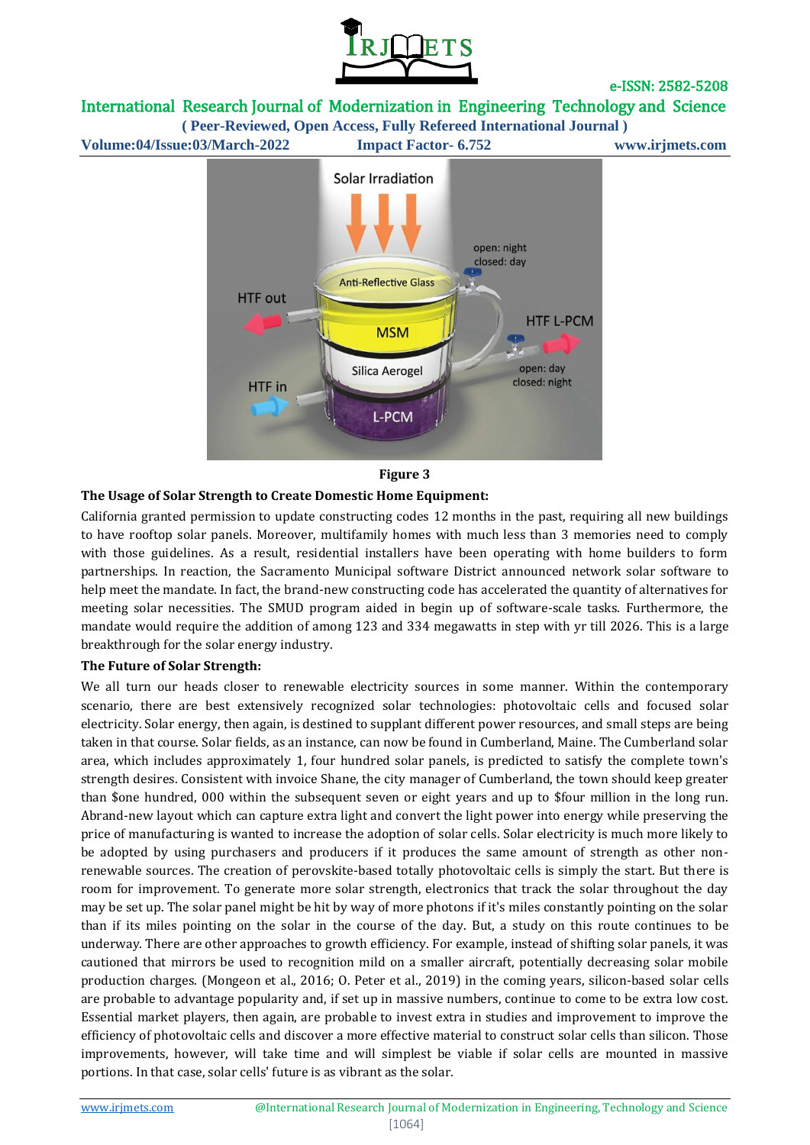

## International Research Journal of Modernization in Engineering Technology and Science

**( Peer-Reviewed, Open Access, Fully Refereed International Journal ) Volume:04/Issue:03/March-2022 Impact Factor- 6.752 www.irjmets.com** Solar Irradiation open: night closed: day **Anti-Reflective Glass HTF** out **HTF L-PCM MSM** open: day



**Figure 3**

### **The Usage of Solar Strength to Create Domestic Home Equipment:**

California granted permission to update constructing codes 12 months in the past, requiring all new buildings to have rooftop solar panels. Moreover, multifamily homes with much less than 3 memories need to comply with those guidelines. As a result, residential installers have been operating with home builders to form partnerships. In reaction, the Sacramento Municipal software District announced network solar software to help meet the mandate. In fact, the brand-new constructing code has accelerated the quantity of alternatives for meeting solar necessities. The SMUD program aided in begin up of software-scale tasks. Furthermore, the mandate would require the addition of among 123 and 334 megawatts in step with yr till 2026. This is a large breakthrough for the solar energy industry.

#### **The Future of Solar Strength:**

We all turn our heads closer to renewable electricity sources in some manner. Within the contemporary scenario, there are best extensively recognized solar technologies: photovoltaic cells and focused solar electricity. Solar energy, then again, is destined to supplant different power resources, and small steps are being taken in that course. Solar fields, as an instance, can now be found in Cumberland, Maine. The Cumberland solar area, which includes approximately 1, four hundred solar panels, is predicted to satisfy the complete town's strength desires. Consistent with invoice Shane, the city manager of Cumberland, the town should keep greater than \$one hundred, 000 within the subsequent seven or eight years and up to \$four million in the long run. Abrand-new layout which can capture extra light and convert the light power into energy while preserving the price of manufacturing is wanted to increase the adoption of solar cells. Solar electricity is much more likely to be adopted by using purchasers and producers if it produces the same amount of strength as other nonrenewable sources. The creation of perovskite-based totally photovoltaic cells is simply the start. But there is room for improvement. To generate more solar strength, electronics that track the solar throughout the day may be set up. The solar panel might be hit by way of more photons if it's miles constantly pointing on the solar than if its miles pointing on the solar in the course of the day. But, a study on this route continues to be underway. There are other approaches to growth efficiency. For example, instead of shifting solar panels, it was cautioned that mirrors be used to recognition mild on a smaller aircraft, potentially decreasing solar mobile production charges. (Mongeon et al., 2016; O. Peter et al., 2019) in the coming years, silicon-based solar cells are probable to advantage popularity and, if set up in massive numbers, continue to come to be extra low cost. Essential market players, then again, are probable to invest extra in studies and improvement to improve the efficiency of photovoltaic cells and discover a more effective material to construct solar cells than silicon. Those improvements, however, will take time and will simplest be viable if solar cells are mounted in massive portions. In that case, solar cells' future is as vibrant as the solar.